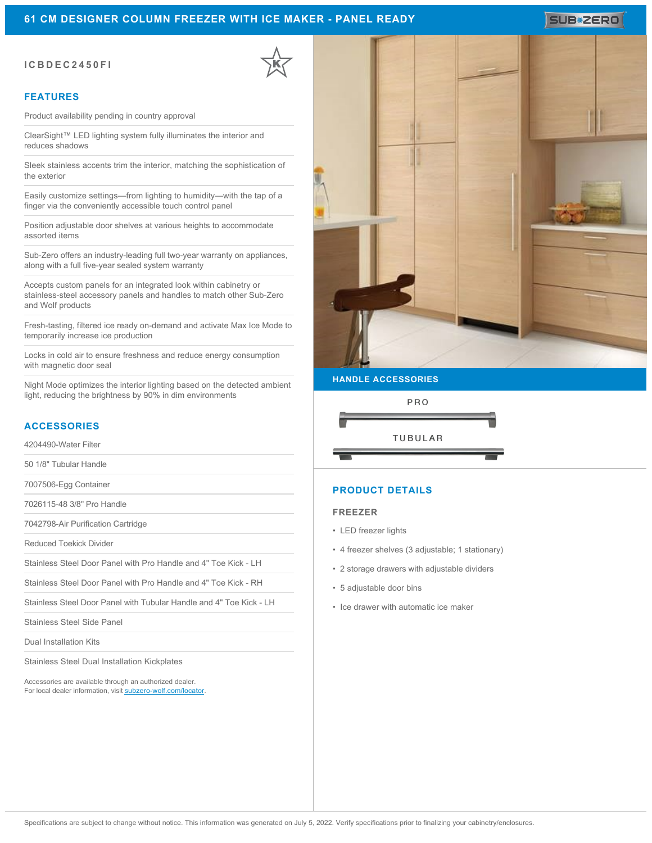## **61 CM DESIGNER COLUMN FREEZER WITH ICE MAKER - PANEL READY**

## **ICBDEC2450FI**

## **FEATURES**

Product availability pending in country approval

ClearSight™ LED lighting system fully illuminates the interior and reduces shadows

Sleek stainless accents trim the interior, matching the sophistication of the exterior

Easily customize settings—from lighting to humidity—with the tap of a finger via the conveniently accessible touch control panel

Position adjustable door shelves at various heights to accommodate assorted items

Sub-Zero offers an industry-leading full two-year warranty on appliances, along with a full five-year sealed system warranty

Accepts custom panels for an integrated look within cabinetry or stainless-steel accessory panels and handles to match other Sub-Zero and Wolf products

Fresh-tasting, filtered ice ready on-demand and activate Max Ice Mode to temporarily increase ice production

Locks in cold air to ensure freshness and reduce energy consumption with magnetic door seal

Night Mode optimizes the interior lighting based on the detected ambient light, reducing the brightness by 90% in dim environments

# **ACCESSORIES**

4204490-Water Filter

50 1/8" Tubular Handle

7007506-Egg Container

7026115-48 3/8" Pro Handle

7042798-Air Purification Cartridge

Reduced Toekick Divider

Stainless Steel Door Panel with Pro Handle and 4" Toe Kick - LH

Stainless Steel Door Panel with Pro Handle and 4" Toe Kick - RH

Stainless Steel Door Panel with Tubular Handle and 4" Toe Kick - LH

Stainless Steel Side Panel

Dual Installation Kits

Stainless Steel Dual Installation Kickplates

Accessories are available through an authorized dealer. For local dealer information, visit [subzero-wolf.com/locator.](http://www.subzero-wolf.com/locator)



## **HANDLE ACCESSORIES**



# **PRODUCT DETAILS**

#### **FREEZER**

- LED freezer lights
- 4 freezer shelves (3 adjustable; 1 stationary)
- 2 storage drawers with adjustable dividers
- 5 adjustable door bins
- Ice drawer with automatic ice maker

# **SUB#ZERO**